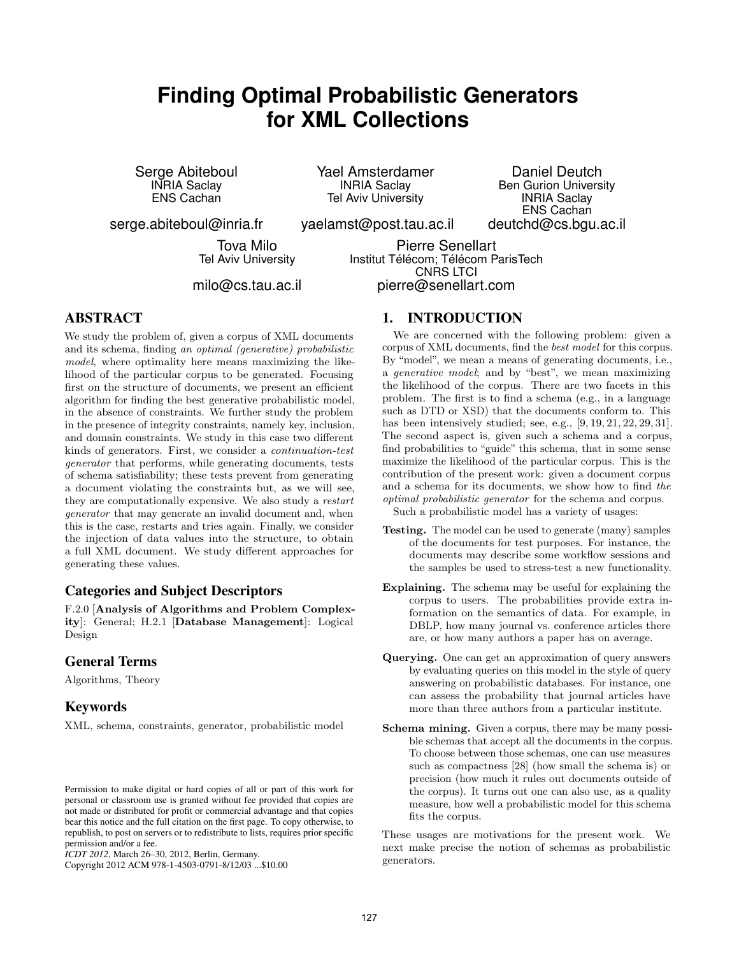# **Finding Optimal Probabilistic Generators for XML Collections**

Serge Abiteboul INRIA Saclay ENS Cachan

serge.abiteboul@inria.fr

Yael Amsterdamer INRIA Saclay Tel Aviv University

yaelamst@post.tau.ac.il

Daniel Deutch Ben Gurion University INRIA Saclay ENS Cachan deutchd@cs.bgu.ac.il

Tova Milo Tel Aviv University

milo@cs.tau.ac.il

Pierre Senellart Institut Télécom; Télécom ParisTech CNRS LTCI pierre@senellart.com

# ABSTRACT

We study the problem of, given a corpus of XML documents and its schema, finding an optimal (generative) probabilistic model, where optimality here means maximizing the likelihood of the particular corpus to be generated. Focusing first on the structure of documents, we present an efficient algorithm for finding the best generative probabilistic model, in the absence of constraints. We further study the problem in the presence of integrity constraints, namely key, inclusion, and domain constraints. We study in this case two different kinds of generators. First, we consider a continuation-test generator that performs, while generating documents, tests of schema satisfiability; these tests prevent from generating a document violating the constraints but, as we will see, they are computationally expensive. We also study a restart generator that may generate an invalid document and, when this is the case, restarts and tries again. Finally, we consider the injection of data values into the structure, to obtain a full XML document. We study different approaches for generating these values.

# Categories and Subject Descriptors

F.2.0 [Analysis of Algorithms and Problem Complexity]: General; H.2.1 [Database Management]: Logical Design

# General Terms

Algorithms, Theory

# Keywords

XML, schema, constraints, generator, probabilistic model

Copyright 2012 ACM 978-1-4503-0791-8/12/03 ...\$10.00

## 1. INTRODUCTION

We are concerned with the following problem: given a corpus of XML documents, find the best model for this corpus. By "model", we mean a means of generating documents, i.e., a generative model; and by "best", we mean maximizing the likelihood of the corpus. There are two facets in this problem. The first is to find a schema (e.g., in a language such as DTD or XSD) that the documents conform to. This has been intensively studied; see, e.g.,  $[9, 19, 21, 22, 29, 31]$ . The second aspect is, given such a schema and a corpus, find probabilities to "guide" this schema, that in some sense maximize the likelihood of the particular corpus. This is the contribution of the present work: given a document corpus and a schema for its documents, we show how to find the optimal probabilistic generator for the schema and corpus.

Such a probabilistic model has a variety of usages:

- Testing. The model can be used to generate (many) samples of the documents for test purposes. For instance, the documents may describe some workflow sessions and the samples be used to stress-test a new functionality.
- Explaining. The schema may be useful for explaining the corpus to users. The probabilities provide extra information on the semantics of data. For example, in DBLP, how many journal vs. conference articles there are, or how many authors a paper has on average.
- Querying. One can get an approximation of query answers by evaluating queries on this model in the style of query answering on probabilistic databases. For instance, one can assess the probability that journal articles have more than three authors from a particular institute.
- Schema mining. Given a corpus, there may be many possible schemas that accept all the documents in the corpus. To choose between those schemas, one can use measures such as compactness [28] (how small the schema is) or precision (how much it rules out documents outside of the corpus). It turns out one can also use, as a quality measure, how well a probabilistic model for this schema fits the corpus.

These usages are motivations for the present work. We next make precise the notion of schemas as probabilistic generators.

Permission to make digital or hard copies of all or part of this work for personal or classroom use is granted without fee provided that copies are not made or distributed for profit or commercial advantage and that copies bear this notice and the full citation on the first page. To copy otherwise, to republish, to post on servers or to redistribute to lists, requires prior specific permission and/or a fee.

*ICDT 2012*, March 26–30, 2012, Berlin, Germany.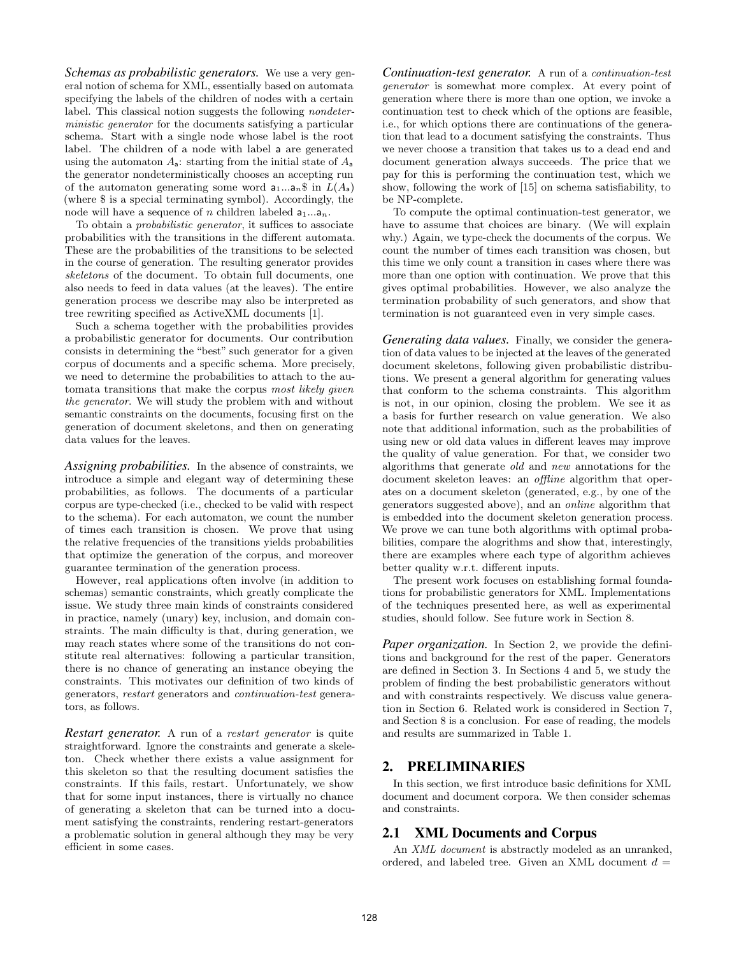*Schemas as probabilistic generators.* We use a very general notion of schema for XML, essentially based on automata specifying the labels of the children of nodes with a certain label. This classical notion suggests the following nondeterministic generator for the documents satisfying a particular schema. Start with a single node whose label is the root label. The children of a node with label a are generated using the automaton  $A_{a}$ : starting from the initial state of  $A_{a}$ the generator nondeterministically chooses an accepting run of the automaton generating some word  $a_1...a_n$  in  $L(A_a)$ (where \$ is a special terminating symbol). Accordingly, the node will have a sequence of n children labeled  $a_1...a_n$ .

To obtain a probabilistic generator, it suffices to associate probabilities with the transitions in the different automata. These are the probabilities of the transitions to be selected in the course of generation. The resulting generator provides skeletons of the document. To obtain full documents, one also needs to feed in data values (at the leaves). The entire generation process we describe may also be interpreted as tree rewriting specified as ActiveXML documents [1].

Such a schema together with the probabilities provides a probabilistic generator for documents. Our contribution consists in determining the "best" such generator for a given corpus of documents and a specific schema. More precisely, we need to determine the probabilities to attach to the automata transitions that make the corpus most likely given the generator. We will study the problem with and without semantic constraints on the documents, focusing first on the generation of document skeletons, and then on generating data values for the leaves.

*Assigning probabilities.* In the absence of constraints, we introduce a simple and elegant way of determining these probabilities, as follows. The documents of a particular corpus are type-checked (i.e., checked to be valid with respect to the schema). For each automaton, we count the number of times each transition is chosen. We prove that using the relative frequencies of the transitions yields probabilities that optimize the generation of the corpus, and moreover guarantee termination of the generation process.

However, real applications often involve (in addition to schemas) semantic constraints, which greatly complicate the issue. We study three main kinds of constraints considered in practice, namely (unary) key, inclusion, and domain constraints. The main difficulty is that, during generation, we may reach states where some of the transitions do not constitute real alternatives: following a particular transition, there is no chance of generating an instance obeying the constraints. This motivates our definition of two kinds of generators, restart generators and continuation-test generators, as follows.

*Restart generator.* A run of a restart generator is quite straightforward. Ignore the constraints and generate a skeleton. Check whether there exists a value assignment for this skeleton so that the resulting document satisfies the constraints. If this fails, restart. Unfortunately, we show that for some input instances, there is virtually no chance of generating a skeleton that can be turned into a document satisfying the constraints, rendering restart-generators a problematic solution in general although they may be very efficient in some cases.

*Continuation-test generator.* A run of a continuation-test generator is somewhat more complex. At every point of generation where there is more than one option, we invoke a continuation test to check which of the options are feasible, i.e., for which options there are continuations of the generation that lead to a document satisfying the constraints. Thus we never choose a transition that takes us to a dead end and document generation always succeeds. The price that we pay for this is performing the continuation test, which we show, following the work of [15] on schema satisfiability, to be NP-complete.

To compute the optimal continuation-test generator, we have to assume that choices are binary. (We will explain why.) Again, we type-check the documents of the corpus. We count the number of times each transition was chosen, but this time we only count a transition in cases where there was more than one option with continuation. We prove that this gives optimal probabilities. However, we also analyze the termination probability of such generators, and show that termination is not guaranteed even in very simple cases.

*Generating data values.* Finally, we consider the generation of data values to be injected at the leaves of the generated document skeletons, following given probabilistic distributions. We present a general algorithm for generating values that conform to the schema constraints. This algorithm is not, in our opinion, closing the problem. We see it as a basis for further research on value generation. We also note that additional information, such as the probabilities of using new or old data values in different leaves may improve the quality of value generation. For that, we consider two algorithms that generate old and new annotations for the document skeleton leaves: an *offline* algorithm that operates on a document skeleton (generated, e.g., by one of the generators suggested above), and an online algorithm that is embedded into the document skeleton generation process. We prove we can tune both algorithms with optimal probabilities, compare the alogrithms and show that, interestingly, there are examples where each type of algorithm achieves better quality w.r.t. different inputs.

The present work focuses on establishing formal foundations for probabilistic generators for XML. Implementations of the techniques presented here, as well as experimental studies, should follow. See future work in Section 8.

*Paper organization.* In Section 2, we provide the definitions and background for the rest of the paper. Generators are defined in Section 3. In Sections 4 and 5, we study the problem of finding the best probabilistic generators without and with constraints respectively. We discuss value generation in Section 6. Related work is considered in Section 7, and Section 8 is a conclusion. For ease of reading, the models and results are summarized in Table 1.

# 2. PRELIMINARIES

In this section, we first introduce basic definitions for XML document and document corpora. We then consider schemas and constraints.

# 2.1 XML Documents and Corpus

An XML document is abstractly modeled as an unranked, ordered, and labeled tree. Given an XML document  $d =$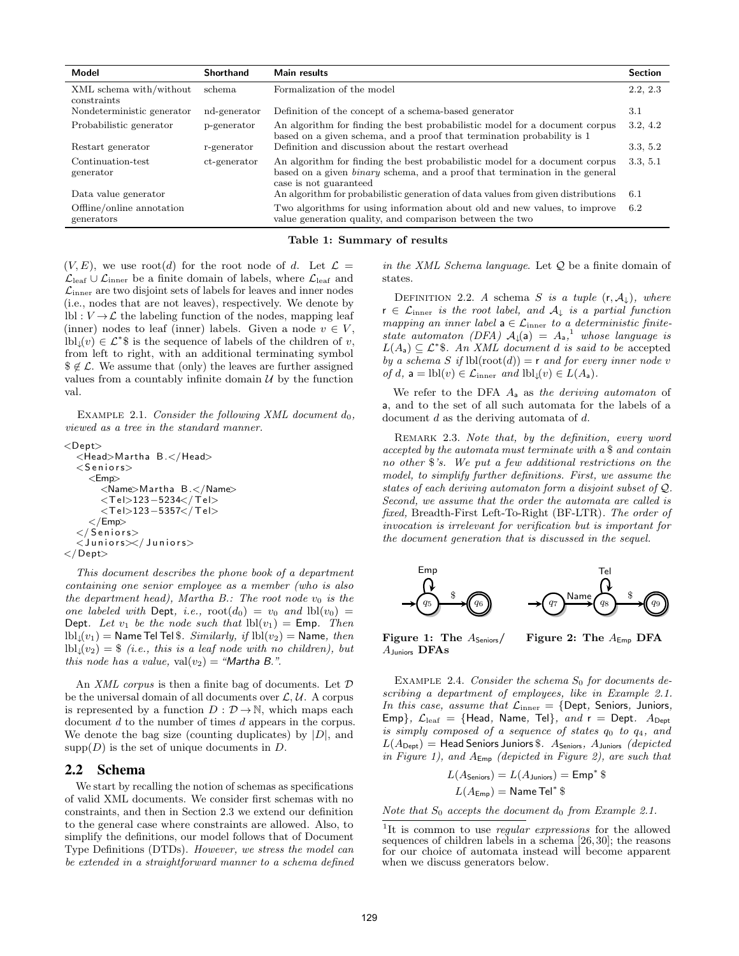| Model                                   | <b>Shorthand</b> | Main results                                                                                                                                                                                | <b>Section</b> |
|-----------------------------------------|------------------|---------------------------------------------------------------------------------------------------------------------------------------------------------------------------------------------|----------------|
| XML schema with/without<br>constraints  | schema           | Formalization of the model                                                                                                                                                                  | 2.2, 2.3       |
| Nondeterministic generator              | nd-generator     | Definition of the concept of a schema-based generator                                                                                                                                       | 3.1            |
| Probabilistic generator                 | p-generator      | An algorithm for finding the best probabilistic model for a document corpus<br>based on a given schema, and a proof that termination probability is 1                                       | 3.2, 4.2       |
| Restart generator                       | r-generator      | Definition and discussion about the restart overhead                                                                                                                                        | 3.3, 5.2       |
| Continuation-test<br>generator          | ct-generator     | An algorithm for finding the best probabilistic model for a document corpus<br>based on a given <i>binary</i> schema, and a proof that termination in the general<br>case is not guaranteed | 3.3, 5.1       |
| Data value generator                    |                  | An algorithm for probabilistic generation of data values from given distributions                                                                                                           | 6.1            |
| Offline/online annotation<br>generators |                  | Two algorithms for using information about old and new values, to improve<br>value generation quality, and comparison between the two                                                       | 6.2            |

#### Table 1: Summary of results

 $(V, E)$ , we use root(d) for the root node of d. Let  $\mathcal{L} =$  $\mathcal{L}_{\text{leaf}} \cup \mathcal{L}_{\text{inner}}$  be a finite domain of labels, where  $\mathcal{L}_{\text{leaf}}$  and  $\mathcal{L}_{\text{inner}}$  are two disjoint sets of labels for leaves and inner nodes (i.e., nodes that are not leaves), respectively. We denote by lbl :  $V \rightarrow \mathcal{L}$  the labeling function of the nodes, mapping leaf (inner) nodes to leaf (inner) labels. Given a node  $v \in V$ , lbl<sub>↓</sub> $(v) \in \mathcal{L}^*$  is the sequence of labels of the children of v, from left to right, with an additional terminating symbol  $\{\mathcal{L} \in \mathcal{L}\}$ . We assume that (only) the leaves are further assigned values from a countably infinite domain  $\mathcal U$  by the function val.

EXAMPLE 2.1. Consider the following XML document  $d_0$ , viewed as a tree in the standard manner.

```
<Dept>
<Head>Martha B.</Head>
<Seniors><Emp>
      <Name>Martha B.</Name>
      <Tel>123−5234</ Tel>
      <Tel>123−5357</ Tel>
   \langle/Emp\rangle\langle Seniors>
\overline{\langle}Juniors\asymp/Juniors>\langle/Dept\rangle
```
This document describes the phone book of a department containing one senior employee as a member (who is also the department head), Martha B.: The root node  $v_0$  is the one labeled with Dept, i.e.,  $\text{root}(d_0) = v_0$  and  $\text{lb}(v_0) =$ Dept. Let  $v_1$  be the node such that  $\text{lb}(v_1) = \text{Emp.}$  Then  $\text{lbl}_{\downarrow}(v_1) = \text{Name Tel Tel }$ \$.  $Similarly, if \text{lbl}(v_2) = \text{Name}, then$  $\text{lbl}_{\downarrow}(v_2) = \text{\$}$  (i.e., this is a leaf node with no children), but this node has a value,  $val(v_2) = "M \text{artha } B."$ 

An *XML corpus* is then a finite bag of documents. Let  $D$ be the universal domain of all documents over  $\mathcal{L}, \mathcal{U}$ . A corpus is represented by a function  $D : \mathcal{D} \to \mathbb{N}$ , which maps each document d to the number of times d appears in the corpus. We denote the bag size (counting duplicates) by  $|D|$ , and  $supp(D)$  is the set of unique documents in D.

## 2.2 Schema

We start by recalling the notion of schemas as specifications of valid XML documents. We consider first schemas with no constraints, and then in Section 2.3 we extend our definition to the general case where constraints are allowed. Also, to simplify the definitions, our model follows that of Document Type Definitions (DTDs). However, we stress the model can be extended in a straightforward manner to a schema defined

in the XML Schema language. Let  $Q$  be a finite domain of states.

DEFINITION 2.2. A schema S is a tuple  $(r, A_{\downarrow})$ , where  $r \in \mathcal{L}_{inner}$  is the root label, and  $\mathcal{A}_{\downarrow}$  is a partial function mapping an inner label  $a \in \mathcal{L}_{inner}$  to a deterministic finitestate automaton (DFA)  $A_{\downarrow}(a) = A_{a}^{\quad 1}$ , whose language is  $L(A_a) \subseteq \mathcal{L}^*\$ . An XML document d is said to be accepted by a schema S if  $\text{lb}(\text{root}(d)) = r$  and for every inner node v of d,  $a = \text{lb}(v) \in \mathcal{L}_{\text{inner}}$  and  $\text{lbl}_{\downarrow}(v) \in L(A_a)$ .

We refer to the DFA  $A_a$  as the deriving automaton of a, and to the set of all such automata for the labels of a document d as the deriving automata of d.

Remark 2.3. Note that, by the definition, every word accepted by the automata must terminate with a \$ and contain no other \$'s. We put a few additional restrictions on the model, to simplify further definitions. First, we assume the states of each deriving automaton form a disjoint subset of Q. Second, we assume that the order the automata are called is fixed, Breadth-First Left-To-Right (BF-LTR). The order of invocation is irrelevant for verification but is important for the document generation that is discussed in the sequel.



Figure 1: The Aseniors/ AJuniors DFAs Figure 2: The AEmp DFA

EXAMPLE 2.4. Consider the schema  $S_0$  for documents describing a department of employees, like in Example 2.1. In this case, assume that  $\mathcal{L}_{\text{inner}} = \{\text{Depth}, \text{ Seniors}, \text{ Juniors}, \text{ }$ Emp},  $\mathcal{L}_{\text{leaf}} = \{\text{Head}, \text{Name}, \text{Tel}\}, \text{ and } \text{r} = \text{Depth}.$   $A_{\text{Det}}$ is simply composed of a sequence of states  $q_0$  to  $q_4$ , and  $L(A_{\text{Depth}})$  = Head Seniors Juniors \$. Aseniors, A Juniors (depicted in Figure 1), and  $A_{\text{Emp}}$  (depicted in Figure 2), are such that

$$
L(A_{\text{Seniors}}) = L(A_{\text{Juniors}}) = \text{Emp}^*
$$

$$
L(A_{\text{Emp}}) = \text{Name Tel}^* \$
$$

\$

Note that  $S_0$  accepts the document  $d_0$  from Example 2.1.

<sup>&</sup>lt;sup>1</sup>It is common to use *regular expressions* for the allowed sequences of children labels in a schema [26, 30]; the reasons for our choice of automata instead will become apparent when we discuss generators below.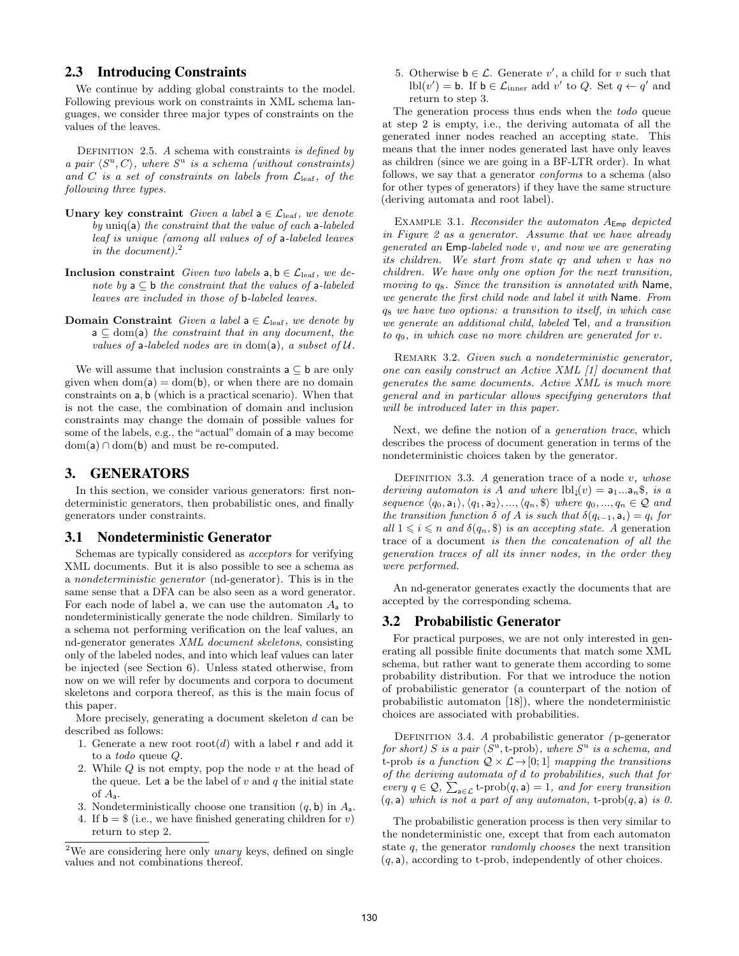#### 2.3 Introducing Constraints

We continue by adding global constraints to the model. Following previous work on constraints in XML schema languages, we consider three major types of constraints on the values of the leaves.

DEFINITION 2.5. A schema with constraints is defined by a pair  $\langle S^u, C \rangle$ , where  $S^u$  is a schema (without constraints) and C is a set of constraints on labels from  $\mathcal{L}_{\text{leaf}}$ , of the following three types.

- Unary key constraint Given a label  $a \in \mathcal{L}_{\text{leaf}}$ , we denote by uniq(a) the constraint that the value of each a-labeled leaf is unique (among all values of of a-labeled leaves in the document). $^{2}$
- Inclusion constraint Given two labels  $a, b \in \mathcal{L}_{\text{leaf}}$ , we denote by  $\mathtt a\subseteq \mathtt b$  the constraint that the values of  $\mathtt a\text{-}labeled$ leaves are included in those of b-labeled leaves.
- **Domain Constraint** Given a label  $a \in \mathcal{L}_{\text{leaf}}$ , we denote by  $a \subseteq \text{dom}(a)$  the constraint that in any document, the values of a-labeled nodes are in dom(a), a subset of  $U$ .

We will assume that inclusion constraints  $a \subseteq b$  are only given when  $dom(a) = dom(b)$ , or when there are no domain constraints on a, b (which is a practical scenario). When that is not the case, the combination of domain and inclusion constraints may change the domain of possible values for some of the labels, e.g., the "actual" domain of a may become  $dom(a) \cap dom(b)$  and must be re-computed.

#### 3. GENERATORS

In this section, we consider various generators: first nondeterministic generators, then probabilistic ones, and finally generators under constraints.

#### 3.1 Nondeterministic Generator

Schemas are typically considered as *acceptors* for verifying XML documents. But it is also possible to see a schema as a nondeterministic generator (nd-generator). This is in the same sense that a DFA can be also seen as a word generator. For each node of label **a**, we can use the automaton  $A_{\mathsf{a}}$  to nondeterministically generate the node children. Similarly to a schema not performing verification on the leaf values, an nd-generator generates XML document skeletons, consisting only of the labeled nodes, and into which leaf values can later be injected (see Section 6). Unless stated otherwise, from now on we will refer by documents and corpora to document skeletons and corpora thereof, as this is the main focus of this paper.

More precisely, generating a document skeleton  $d$  can be described as follows:

- 1. Generate a new root  $root(d)$  with a label r and add it to a todo queue Q.
- 2. While  $Q$  is not empty, pop the node  $v$  at the head of the queue. Let a be the label of  $v$  and  $q$  the initial state of  $A_{2}$ .
- 3. Nondeterministically choose one transition  $(q, b)$  in  $A_a$ .
- 4. If  $b = \frac{6}{3}$  (i.e., we have finished generating children for v) return to step 2.

5. Otherwise  $\mathbf{b} \in \mathcal{L}$ . Generate v', a child for v such that  $\text{lb}(v') = \mathsf{b}$ . If  $\mathsf{b} \in \mathcal{L}_{\text{inner}}$  add  $v'$  to Q. Set  $q \leftarrow q'$  and return to step 3.

The generation process thus ends when the todo queue at step 2 is empty, i.e., the deriving automata of all the generated inner nodes reached an accepting state. This means that the inner nodes generated last have only leaves as children (since we are going in a BF-LTR order). In what follows, we say that a generator conforms to a schema (also for other types of generators) if they have the same structure (deriving automata and root label).

EXAMPLE 3.1. Reconsider the automaton  $A_{\text{Emp }}$  depicted in Figure 2 as a generator. Assume that we have already generated an Emp-labeled node v, and now we are generating its children. We start from state  $q_7$  and when v has no children. We have only one option for the next transition, moving to  $q_8$ . Since the transition is annotated with Name, we generate the first child node and label it with Name. From q<sup>8</sup> we have two options: a transition to itself, in which case we generate an additional child, labeled Tel, and a transition to  $q_9$ , in which case no more children are generated for  $v$ .

REMARK 3.2. Given such a nondeterministic generator, one can easily construct an Active XML [1] document that generates the same documents. Active XML is much more general and in particular allows specifying generators that will be introduced later in this paper.

Next, we define the notion of a generation trace, which describes the process of document generation in terms of the nondeterministic choices taken by the generator.

DEFINITION 3.3. A generation trace of a node  $v$ , whose deriving automaton is A and where  $\text{lb}\downarrow(v) = \mathsf{a}_1...\mathsf{a}_n\$ , is a sequence  $\langle q_0, \mathsf{a}_1 \rangle, \langle q_1, \mathsf{a}_2 \rangle, ..., \langle q_n, \$\rangle$  where  $q_0, ..., q_n \in \mathcal{Q}$  and the transition function  $\delta$  of A is such that  $\delta(q_{i-1}, a_i) = q_i$  for all  $1 \leq i \leq n$  and  $\delta(q_n, \S)$  is an accepting state. A generation trace of a document is then the concatenation of all the generation traces of all its inner nodes, in the order they were performed.

An nd-generator generates exactly the documents that are accepted by the corresponding schema.

#### 3.2 Probabilistic Generator

For practical purposes, we are not only interested in generating all possible finite documents that match some XML schema, but rather want to generate them according to some probability distribution. For that we introduce the notion of probabilistic generator (a counterpart of the notion of probabilistic automaton [18]), where the nondeterministic choices are associated with probabilities.

DEFINITION 3.4. A probabilistic generator (p-generator for short) S is a pair  $\langle S^u, t\text{-prob} \rangle$ , where  $S^u$  is a schema, and t-prob is a function  $\mathcal{Q} \times \mathcal{L} \rightarrow [0; 1]$  mapping the transitions of the deriving automata of d to probabilities, such that for every  $q \in \mathcal{Q}, \sum_{a \in \mathcal{L}} \text{t-prob}(q, a) = 1$ , and for every transition  $(q, a)$  which is not a part of any automaton, t-prob $(q, a)$  is 0.

The probabilistic generation process is then very similar to the nondeterministic one, except that from each automaton state q, the generator randomly chooses the next transition  $(q, a)$ , according to t-prob, independently of other choices.

<sup>&</sup>lt;sup>2</sup>We are considering here only *unary* keys, defined on single values and not combinations thereof.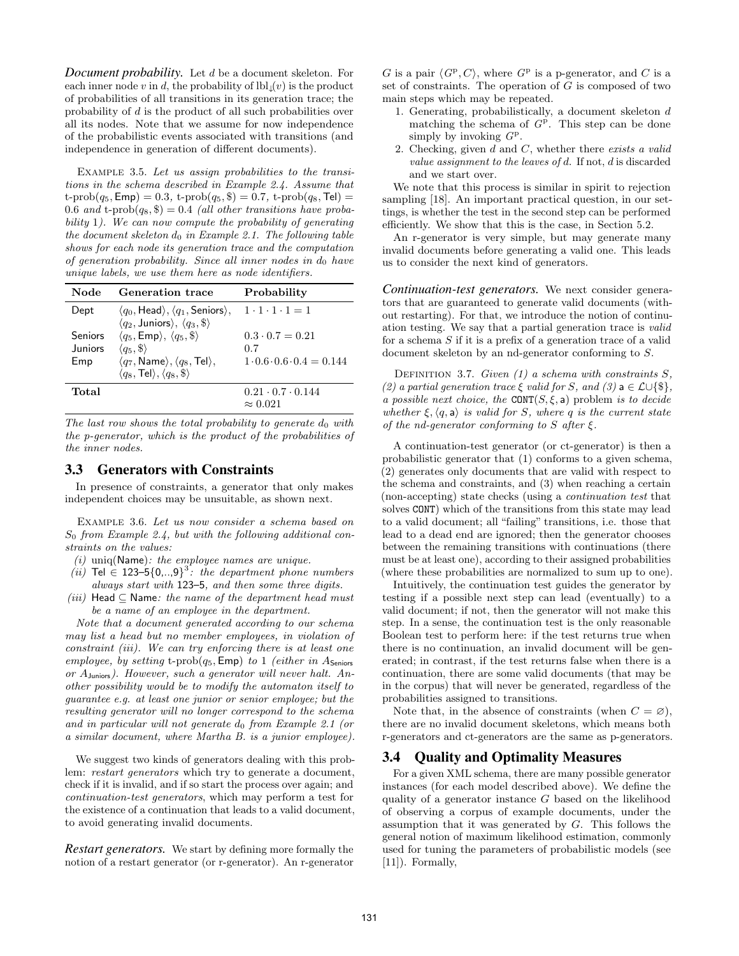*Document probability.* Let d be a document skeleton. For each inner node v in d, the probability of  $\text{lb}_\perp(v)$  is the product of probabilities of all transitions in its generation trace; the probability of d is the product of all such probabilities over all its nodes. Note that we assume for now independence of the probabilistic events associated with transitions (and independence in generation of different documents).

EXAMPLE 3.5. Let us assign probabilities to the transitions in the schema described in Example 2.4. Assume that  $t\text{-prob}(q_5, \text{Emp}) = 0.3$ ,  $t\text{-prob}(q_5, \$) = 0.7$ ,  $t\text{-prob}(q_8, \text{Tel}) = 0.5$ 0.6 and t-prob $(q_8, \$) = 0.4$  (all other transitions have probability 1). We can now compute the probability of generating the document skeleton  $d_0$  in Example 2.1. The following table shows for each node its generation trace and the computation of generation probability. Since all inner nodes in  $d_0$  have unique labels, we use them here as node identifiers.

| Node           | <b>Generation trace</b>                                                                                                               | Probability                     |
|----------------|---------------------------------------------------------------------------------------------------------------------------------------|---------------------------------|
| Dept           | $\langle q_0, \text{Head} \rangle, \langle q_1, \text{Seniors} \rangle,$<br>$\langle q_2,$ Juniors $\rangle, \langle q_3, \$ \rangle$ | $1 \cdot 1 \cdot 1 \cdot 1 = 1$ |
| <b>Seniors</b> | $\langle q_5, \mathsf{Emp} \rangle, \langle q_5, \$\rangle$                                                                           | $0.3 \cdot 0.7 = 0.21$          |
| Juniors        | $\langle q_5, \$ \rangle$                                                                                                             | 0.7                             |
| Emp            | $\langle q_7, \text{Name} \rangle, \langle q_8, \text{Tel} \rangle,$                                                                  | $1.0.6.0.6.0.4 = 0.144$         |
|                | $\langle q_8, \textsf{Tel} \rangle, \langle q_8, \$ \rangle$                                                                          |                                 |
| Total          |                                                                                                                                       | $0.21 \cdot 0.7 \cdot 0.144$    |
|                |                                                                                                                                       | $\approx 0.021$                 |

The last row shows the total probability to generate  $d_0$  with the p-generator, which is the product of the probabilities of the inner nodes.

#### 3.3 Generators with Constraints

In presence of constraints, a generator that only makes independent choices may be unsuitable, as shown next.

Example 3.6. Let us now consider a schema based on  $S_0$  from Example 2.4, but with the following additional constraints on the values:

- $(i)$  uniq(Name): the employee names are unique.
- (ii) Tel  $\in$  123–5{0,..,9}<sup>3</sup>: the department phone numbers always start with 123–5, and then some three digits.
- (iii) Head  $\subseteq$  Name: the name of the department head must be a name of an employee in the department.

Note that a document generated according to our schema may list a head but no member employees, in violation of constraint (iii). We can try enforcing there is at least one employee, by setting t-prob( $q_5$ , Emp) to 1 (either in Aseniors or AJuniors). However, such a generator will never halt. Another possibility would be to modify the automaton itself to guarantee e.g. at least one junior or senior employee; but the resulting generator will no longer correspond to the schema and in particular will not generate  $d_0$  from Example 2.1 (or a similar document, where Martha B. is a junior employee).

We suggest two kinds of generators dealing with this problem: restart generators which try to generate a document, check if it is invalid, and if so start the process over again; and continuation-test generators, which may perform a test for the existence of a continuation that leads to a valid document, to avoid generating invalid documents.

*Restart generators.* We start by defining more formally the notion of a restart generator (or r-generator). An r-generator

G is a pair  $\langle G^{\rm p}, C \rangle$ , where  $G^{\rm p}$  is a p-generator, and C is a set of constraints. The operation of  $G$  is composed of two main steps which may be repeated.

- 1. Generating, probabilistically, a document skeleton d matching the schema of  $G<sup>p</sup>$ . This step can be done simply by invoking  $G^{\rm p}$ .
- 2. Checking, given d and C, whether there exists a valid value assignment to the leaves of d. If not, d is discarded and we start over.

We note that this process is similar in spirit to rejection sampling [18]. An important practical question, in our settings, is whether the test in the second step can be performed efficiently. We show that this is the case, in Section 5.2.

An r-generator is very simple, but may generate many invalid documents before generating a valid one. This leads us to consider the next kind of generators.

*Continuation-test generators.* We next consider generators that are guaranteed to generate valid documents (without restarting). For that, we introduce the notion of continuation testing. We say that a partial generation trace is valid for a schema S if it is a prefix of a generation trace of a valid document skeleton by an nd-generator conforming to S.

DEFINITION 3.7. Given  $(1)$  a schema with constraints S, (2) a partial generation trace  $\xi$  valid for S, and (3) a  $\in \mathcal{L}\cup \{\$\}.$ a possible next choice, the CONT( $S, \xi, a$ ) problem is to decide whether  $\xi, \langle q, a \rangle$  is valid for S, where q is the current state of the nd-generator conforming to S after  $\xi$ .

A continuation-test generator (or ct-generator) is then a probabilistic generator that (1) conforms to a given schema, (2) generates only documents that are valid with respect to the schema and constraints, and (3) when reaching a certain (non-accepting) state checks (using a continuation test that solves CONT) which of the transitions from this state may lead to a valid document; all "failing" transitions, i.e. those that lead to a dead end are ignored; then the generator chooses between the remaining transitions with continuations (there must be at least one), according to their assigned probabilities (where these probabilities are normalized to sum up to one).

Intuitively, the continuation test guides the generator by testing if a possible next step can lead (eventually) to a valid document; if not, then the generator will not make this step. In a sense, the continuation test is the only reasonable Boolean test to perform here: if the test returns true when there is no continuation, an invalid document will be generated; in contrast, if the test returns false when there is a continuation, there are some valid documents (that may be in the corpus) that will never be generated, regardless of the probabilities assigned to transitions.

Note that, in the absence of constraints (when  $C = \varnothing$ ), there are no invalid document skeletons, which means both r-generators and ct-generators are the same as p-generators.

#### 3.4 Quality and Optimality Measures

For a given XML schema, there are many possible generator instances (for each model described above). We define the quality of a generator instance G based on the likelihood of observing a corpus of example documents, under the assumption that it was generated by G. This follows the general notion of maximum likelihood estimation, commonly used for tuning the parameters of probabilistic models (see [11]). Formally,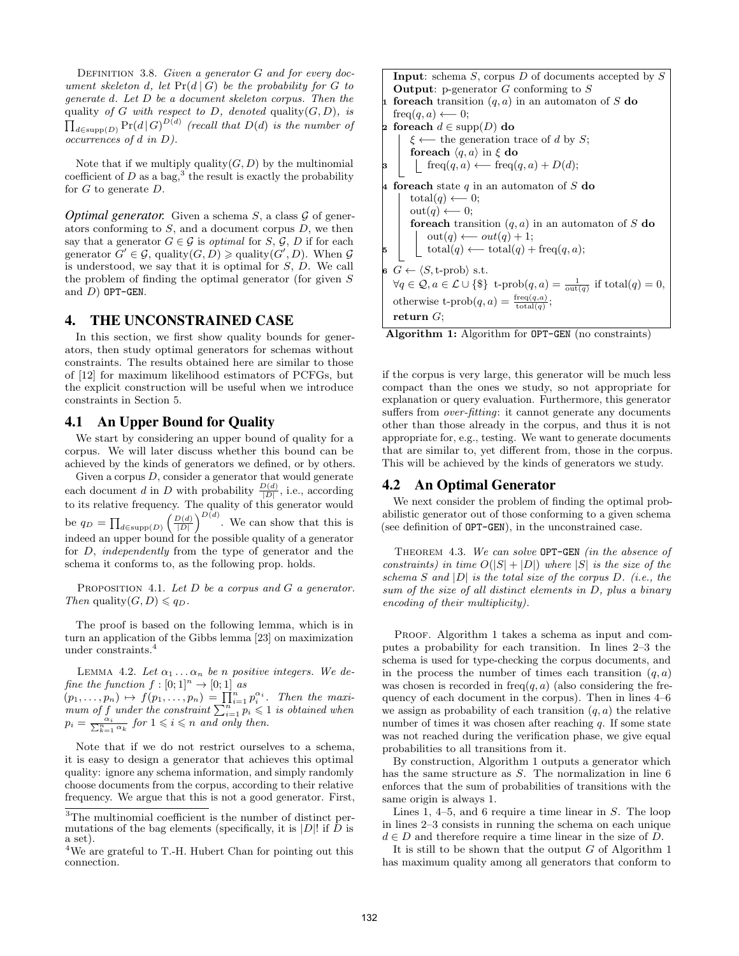DEFINITION 3.8. Given a generator  $G$  and for every document skeleton d, let  $Pr(d | G)$  be the probability for G to generate d. Let D be a document skeleton corpus. Then the quality of G with respect to D, denoted quality $(G, D)$ , is  $\prod_{d \in \text{supp}(D)} \Pr(d | G)^{D(d)}$  (recall that  $D(d)$  is the number of  $occurrences of d in D).$ 

Note that if we multiply quality $(G, D)$  by the multinomial coefficient of  $D$  as a bag,<sup>3</sup> the result is exactly the probability for G to generate D.

*Optimal generator.* Given a schema  $S$ , a class  $G$  of generators conforming to  $S$ , and a document corpus  $D$ , we then say that a generator  $G \in \mathcal{G}$  is *optimal* for S,  $\mathcal{G}$ , D if for each generator  $G' \in \mathcal{G}$ , quality $(G, D) \geq \text{quality}(G', D)$ . When  $\mathcal{G}$ is understood, we say that it is optimal for  $S$ ,  $D$ . We call the problem of finding the optimal generator (for given S and  $D)$  OPT-GEN.

#### 4. THE UNCONSTRAINED CASE

In this section, we first show quality bounds for generators, then study optimal generators for schemas without constraints. The results obtained here are similar to those of [12] for maximum likelihood estimators of PCFGs, but the explicit construction will be useful when we introduce constraints in Section 5.

#### 4.1 An Upper Bound for Quality

We start by considering an upper bound of quality for a corpus. We will later discuss whether this bound can be achieved by the kinds of generators we defined, or by others.

Given a corpus D, consider a generator that would generate each document d in D with probability  $\frac{D(d)}{|D|}$ , i.e., according to its relative frequency. The quality of this generator would be  $q_D = \prod_{d \in \text{supp}(D)} \left(\frac{D(d)}{|D|}\right)^{D(d)}$ . We can show that this is indeed an upper bound for the possible quality of a generator for D, independently from the type of generator and the schema it conforms to, as the following prop. holds.

PROPOSITION 4.1. Let  $D$  be a corpus and  $G$  a generator. Then quality  $(G, D) \leqslant q_D$ .

The proof is based on the following lemma, which is in turn an application of the Gibbs lemma [23] on maximization under constraints.4

LEMMA 4.2. Let  $\alpha_1 \ldots \alpha_n$  be n positive integers. We define the function  $f : [0;1]^n \rightarrow [0;1]$  as  $(p_1, \ldots, p_n) \mapsto f(p_1, \ldots, p_n) = \prod_{i=1}^n p_i^{\alpha_i}$ . Then the maximum of f under the constraint  $\sum_{i=1}^{n} p_i \leq 1$  is obtained when

 $p_i = \frac{\alpha_i}{\sum_{k=1}^n \alpha_k}$  for  $1 \leqslant i \leqslant n$  and only then.

Note that if we do not restrict ourselves to a schema, it is easy to design a generator that achieves this optimal quality: ignore any schema information, and simply randomly choose documents from the corpus, according to their relative frequency. We argue that this is not a good generator. First,

**Input:** schema  $S$ , corpus  $D$  of documents accepted by  $S$ **Output:** p-generator  $G$  conforming to  $S$ for each transition  $(q, a)$  in an automaton of S do freq $(q, a) \longleftarrow 0;$ foreach  $d \in \text{supp}(D)$  do  $\xi \longleftarrow$  the generation trace of d by S; foreach  $\langle q, a \rangle$  in  $\xi$  do  $\mathbf{s}$  | freq $(q, a) \longleftarrow \text{freq}(q, a) + D(d);$ for each state  $q$  in an automaton of  $S$  do  $total(q) \leftarrow 0;$ out $(q)$  ← 0; for each transition  $(q, a)$  in an automaton of S do out(q)  $\longleftarrow$  *out*(q) + 1;  $\mathrm{total}(q) \longleftarrow \mathrm{total}(q) + \mathrm{freq}(q, a);$  $G \leftarrow \langle S, t\text{-prob} \rangle \text{ s.t.}$  $\forall q \in \mathcal{Q}, a \in \mathcal{L} \cup \{\$\}$  t-prob $(q, a) = \frac{1}{\text{out}(q)}$  if total $(q) = 0$ , otherwise  $\text{t-prob}(q, a) = \frac{\text{freq}(q, a)}{\text{total}(q)};$  ${\bf return} \; G;$ 

Algorithm 1: Algorithm for OPT-GEN (no constraints)

if the corpus is very large, this generator will be much less compact than the ones we study, so not appropriate for explanation or query evaluation. Furthermore, this generator suffers from *over-fitting*: it cannot generate any documents other than those already in the corpus, and thus it is not appropriate for, e.g., testing. We want to generate documents that are similar to, yet different from, those in the corpus. This will be achieved by the kinds of generators we study.

## 4.2 An Optimal Generator

We next consider the problem of finding the optimal probabilistic generator out of those conforming to a given schema (see definition of OPT-GEN), in the unconstrained case.

Theorem 4.3. We can solve OPT-GEN (in the absence of constraints) in time  $O(|S| + |D|)$  where  $|S|$  is the size of the schema S and  $|D|$  is the total size of the corpus D. (i.e., the sum of the size of all distinct elements in D, plus a binary encoding of their multiplicity).

PROOF. Algorithm 1 takes a schema as input and computes a probability for each transition. In lines 2–3 the schema is used for type-checking the corpus documents, and in the process the number of times each transition  $(q, a)$ was chosen is recorded in  $freq(q, a)$  (also considering the frequency of each document in the corpus). Then in lines 4–6 we assign as probability of each transition  $(q, a)$  the relative number of times it was chosen after reaching  $q$ . If some state was not reached during the verification phase, we give equal probabilities to all transitions from it.

By construction, Algorithm 1 outputs a generator which has the same structure as S. The normalization in line 6 enforces that the sum of probabilities of transitions with the same origin is always 1.

Lines 1,  $4-5$ , and 6 require a time linear in S. The loop in lines 2–3 consists in running the schema on each unique  $d \in D$  and therefore require a time linear in the size of D.

It is still to be shown that the output  $G$  of Algorithm 1 has maximum quality among all generators that conform to

<sup>3</sup>The multinomial coefficient is the number of distinct permutations of the bag elements (specifically, it is  $|D|!$  if  $\bar{D}$  is a set).

<sup>4</sup>We are grateful to T.-H. Hubert Chan for pointing out this connection.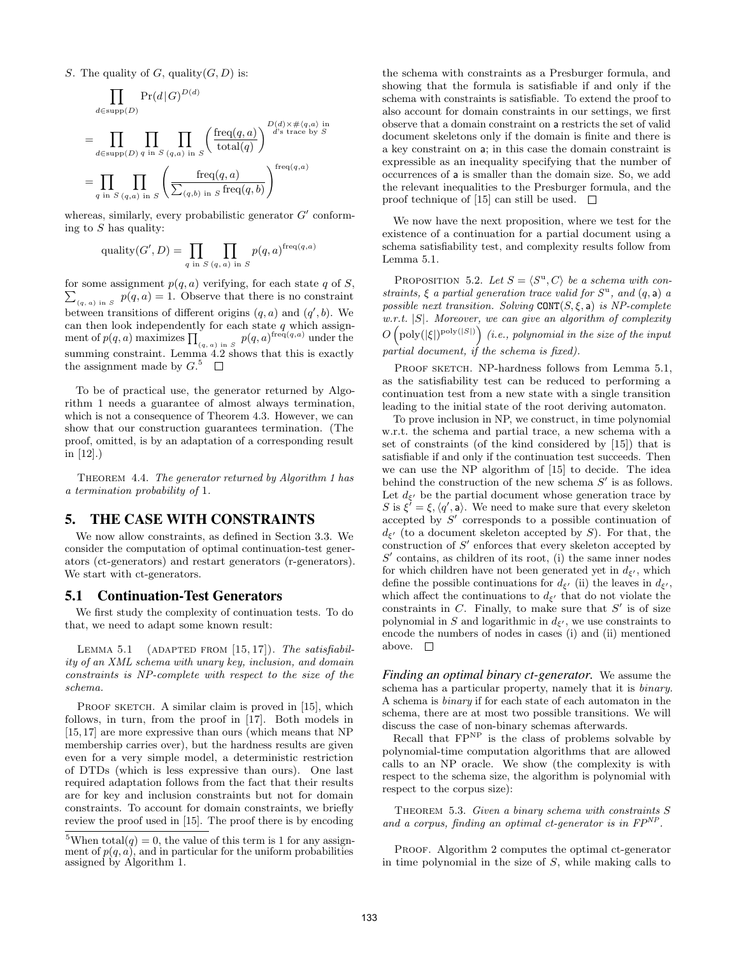S. The quality of  $G$ , quality $(G, D)$  is:

$$
\prod_{d \in \text{supp}(D)} \Pr(d|G)^{D(d)}
$$
\n
$$
= \prod_{d \in \text{supp}(D)} \prod_{q \text{ in } S} \prod_{(q,a) \text{ in } S} \left(\frac{\text{freq}(q,a)}{\text{total}(q)}\right)^{D(d) \times \# \langle q,a \rangle \text{ in } S}
$$
\n
$$
= \prod_{q \text{ in } S} \prod_{(q,a) \text{ in } S} \left(\frac{\text{freq}(q,a)}{\sum_{(q,b) \text{ in } S} \text{freq}(q,b)}\right)^{\text{freq}(q,a)}
$$

whereas, similarly, every probabilistic generator  $G'$  conforming to S has quality:

quality
$$
(G', D) = \prod_{q \text{ in } S} \prod_{(q, a) \text{ in } S} p(q, a)^{\text{freq}(q, a)}
$$

for some assignment  $p(q, a)$  verifying, for each state q of S,  $\sum_{(q, a) \text{ in } S} p(q, a) = 1.$  Observe that there is no constraint between transitions of different origins  $(q, a)$  and  $(q', b)$ . We can then look independently for each state  $q$  which assignment of  $p(q, a)$  maximizes  $\prod_{(q, a) \text{ in } S} p(q, a)$ <sup>freq(q,a)</sup> under the summing constraint. Lemma 4.2 shows that this is exactly the assignment made by  $G<sup>5</sup>$ 

To be of practical use, the generator returned by Algorithm 1 needs a guarantee of almost always termination, which is not a consequence of Theorem 4.3. However, we can show that our construction guarantees termination. (The proof, omitted, is by an adaptation of a corresponding result in [12].)

THEOREM 4.4. The generator returned by Algorithm 1 has a termination probability of 1.

#### 5. THE CASE WITH CONSTRAINTS

We now allow constraints, as defined in Section 3.3. We consider the computation of optimal continuation-test generators (ct-generators) and restart generators (r-generators). We start with ct-generators.

#### 5.1 Continuation-Test Generators

We first study the complexity of continuation tests. To do that, we need to adapt some known result:

LEMMA 5.1 (ADAPTED FROM  $[15, 17]$ ). The satisfiability of an XML schema with unary key, inclusion, and domain constraints is NP-complete with respect to the size of the schema.

PROOF SKETCH. A similar claim is proved in [15], which follows, in turn, from the proof in [17]. Both models in [15, 17] are more expressive than ours (which means that NP membership carries over), but the hardness results are given even for a very simple model, a deterministic restriction of DTDs (which is less expressive than ours). One last required adaptation follows from the fact that their results are for key and inclusion constraints but not for domain constraints. To account for domain constraints, we briefly review the proof used in [15]. The proof there is by encoding the schema with constraints as a Presburger formula, and showing that the formula is satisfiable if and only if the schema with constraints is satisfiable. To extend the proof to also account for domain constraints in our settings, we first observe that a domain constraint on a restricts the set of valid document skeletons only if the domain is finite and there is a key constraint on a; in this case the domain constraint is expressible as an inequality specifying that the number of occurrences of a is smaller than the domain size. So, we add the relevant inequalities to the Presburger formula, and the proof technique of [15] can still be used.  $\square$ 

We now have the next proposition, where we test for the existence of a continuation for a partial document using a schema satisfiability test, and complexity results follow from Lemma 5.1.

PROPOSITION 5.2. Let  $S = \langle S^u, C \rangle$  be a schema with constraints,  $\xi$  a partial generation trace valid for  $S^u$ , and  $(q, a)$  a possible next transition. Solving CONT $(S, \xi, a)$  is NP-complete w.r.t. |S|. Moreover, we can give an algorithm of complexity  $O\left(\text{poly}(|\xi|)^{\text{poly}(|S|)}\right)$  (i.e., polynomial in the size of the input partial document, if the schema is fixed).

PROOF SKETCH. NP-hardness follows from Lemma 5.1, as the satisfiability test can be reduced to performing a continuation test from a new state with a single transition leading to the initial state of the root deriving automaton.

To prove inclusion in NP, we construct, in time polynomial w.r.t. the schema and partial trace, a new schema with a set of constraints (of the kind considered by [15]) that is satisfiable if and only if the continuation test succeeds. Then we can use the NP algorithm of [15] to decide. The idea behind the construction of the new schema  $S'$  is as follows. Let  $d_{\xi'}$  be the partial document whose generation trace by S is  $\xi^j = \xi, \langle q', \mathsf{a} \rangle$ . We need to make sure that every skeleton accepted by  $S'$  corresponds to a possible continuation of  $d_{\xi'}$  (to a document skeleton accepted by S). For that, the construction of  $S'$  enforces that every skeleton accepted by  $S'$  contains, as children of its root, (i) the same inner nodes for which children have not been generated yet in  $d_{\xi'}$ , which define the possible continuations for  $d_{\xi'}$  (ii) the leaves in  $d_{\xi'}$ , which affect the continuations to  $d_{\xi'}$  that do not violate the constraints in  $C$ . Finally, to make sure that  $S'$  is of size polynomial in S and logarithmic in  $d_{\xi'}$ , we use constraints to encode the numbers of nodes in cases (i) and (ii) mentioned above.  $\Box$ 

*Finding an optimal binary ct-generator.* We assume the schema has a particular property, namely that it is binary. A schema is binary if for each state of each automaton in the schema, there are at most two possible transitions. We will discuss the case of non-binary schemas afterwards.

Recall that  $FP<sup>NP</sup>$  is the class of problems solvable by polynomial-time computation algorithms that are allowed calls to an NP oracle. We show (the complexity is with respect to the schema size, the algorithm is polynomial with respect to the corpus size):

THEOREM 5.3. Given a binary schema with constraints  $S$ and a corpus, finding an optimal ct-generator is in  $FP<sup>NP</sup>$ .

PROOF. Algorithm 2 computes the optimal ct-generator in time polynomial in the size of S, while making calls to

<sup>&</sup>lt;sup>5</sup>When total(q) = 0, the value of this term is 1 for any assignment of  $p(q, a)$ , and in particular for the uniform probabilities assigned by Algorithm 1.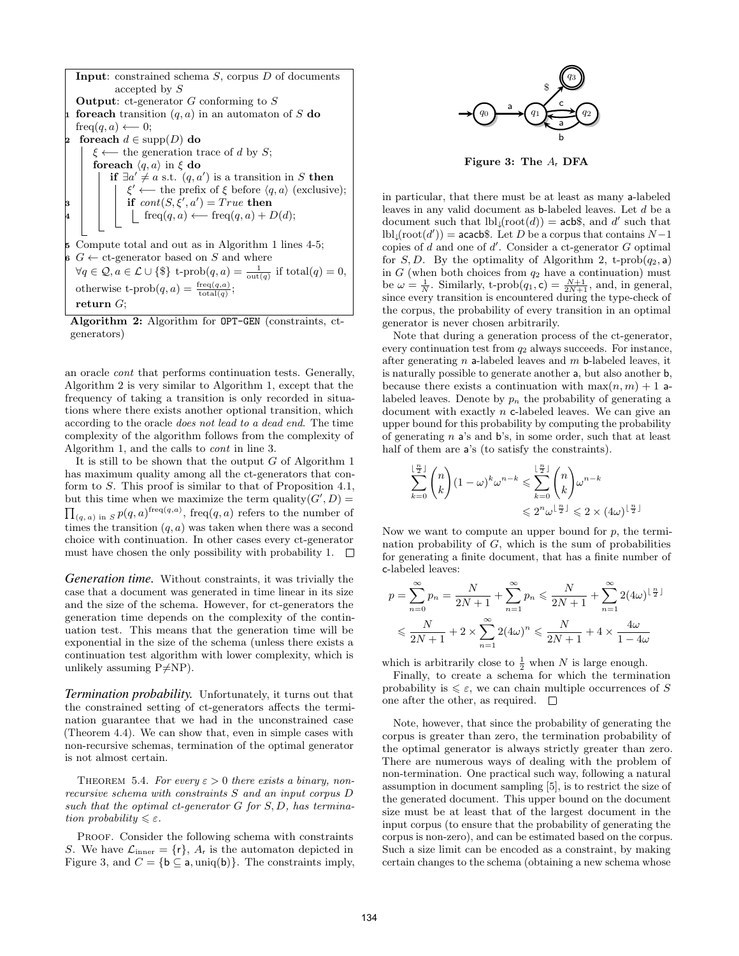```
\nInput: constrained schema S, corpus D of documents\n    accepted by S\nOutput: ct-generation G conforming to S\n\nfor each transition 
$$
(q, a)
$$
 in an automaton of S do\n    freq $(q, a) \leftarrow 0$ ;\n\n    for each  $d \in \text{supp}(D)$  do\n     $\xi \leftarrow$  the generation trace of d by S;\n    for each  $\{q, a\}$  in  $\xi$  do\n    if  $\exists a' \neq a$  s.t.  $(q, a')$  is a transition in S then\n         $\xi' \leftarrow$  the prefix of  $\xi$  before  $\langle q, a \rangle$  (exclusive);\n    if  $cont(S, \xi', a') = True$  then\n     $\xi' \leftarrow$  the prefix of  $\xi$  before  $\langle q, a \rangle$  (exclusive);\n}\n
```
\n\nSuppose: The original problem is a function of the image.\n

\n\nSubstituting the values of the graph:\n

\n\nSubstituting the values of the graph:\n

\n\nSubstituting the graph:\n

\n\nSubstituting the graph:\n

\n\nSubstituting the graph:\n

\n\nSubstituting the graph:\n

\n\nSubstituting the graph:\n

\n\nSubstituting the graph:\n

\n\nSubstituting the graph:\n

\n\nSubstituting the graph:\n

\n\nSubstituting the graph:\n

\n\nSubstituting the graph:\n

\n\nSubstituting the graph:\n

\n\nSubstituting the graph:\n

\n\nSubstituting the graph:\n

\n\nSubstituting the graph:\n

\n\nSubstituting the graph:\n

\n\nSubstituting the graph:\n

\n\nSubstituting the graph:\n

\n\nSubstituting the graph:\n

\n\nSubstituting the graph:\n

\n\nSubstituting the graph:\n

\n\nSubstituting the graph:\n

\n\nSubstituting the graph:\n

\n\nSubstituting the graph:\n

\n\nSubstituting the graph:\n

\n\nSubstituting the graph:\n

\n\nSubstituting the graph:\n

\n\nSubstituting the graph:\n

\n\nSubstituting the graph:\n

\n

Algorithm 2: Algorithm for OPT-GEN (constraints, ctgenerators)

an oracle cont that performs continuation tests. Generally, Algorithm 2 is very similar to Algorithm 1, except that the frequency of taking a transition is only recorded in situations where there exists another optional transition, which according to the oracle does not lead to a dead end. The time complexity of the algorithm follows from the complexity of Algorithm 1, and the calls to cont in line 3.

It is still to be shown that the output  $G$  of Algorithm 1 has maximum quality among all the ct-generators that conform to S. This proof is similar to that of Proposition 4.1, but this time when we maximize the term quality  $(G', D) =$  $\prod_{(q,\,a) \text{ in } S} p(q,a)^{\text{freq}(q,a)}$ , freq $(q,a)$  refers to the number of times the transition  $(q, a)$  was taken when there was a second choice with continuation. In other cases every ct-generator must have chosen the only possibility with probability 1.  $\Box$ 

*Generation time.* Without constraints, it was trivially the case that a document was generated in time linear in its size and the size of the schema. However, for ct-generators the generation time depends on the complexity of the continuation test. This means that the generation time will be exponential in the size of the schema (unless there exists a continuation test algorithm with lower complexity, which is unlikely assuming  $P\neq NP$ ).

*Termination probability.* Unfortunately, it turns out that the constrained setting of ct-generators affects the termination guarantee that we had in the unconstrained case (Theorem 4.4). We can show that, even in simple cases with non-recursive schemas, termination of the optimal generator is not almost certain.

THEOREM 5.4. For every  $\varepsilon > 0$  there exists a binary, nonrecursive schema with constraints S and an input corpus D such that the optimal ct-generator  $G$  for  $S, D$ , has termination probability  $\leq \varepsilon$ .

PROOF. Consider the following schema with constraints S. We have  $\mathcal{L}_{\text{inner}} = \{r\}, A_r$  is the automaton depicted in Figure 3, and  $C = \{b \subseteq a, \text{uniq}(b)\}\$ . The constraints imply,



Figure 3: The  $A_r$  DFA

in particular, that there must be at least as many a-labeled leaves in any valid document as b-labeled leaves. Let d be a document such that  $\text{lb}\downarrow(\text{root}(d)) = \text{acb}\$ \$, and d' such that  $\text{lbl}_{\downarrow}(\text{root}(d')) = \text{acach}\$ . Let D be a corpus that contains  $N-1$ copies of  $d$  and one of  $d'$ . Consider a ct-generator  $G$  optimal for S, D. By the optimality of Algorithm 2, t-prob( $q_2$ , a) in  $G$  (when both choices from  $q_2$  have a continuation) must be  $\omega = \frac{1}{N}$ . Similarly, t-prob $(q_1, c) = \frac{N+1}{2N+1}$ , and, in general, since every transition is encountered during the type-check of the corpus, the probability of every transition in an optimal generator is never chosen arbitrarily.

Note that during a generation process of the ct-generator, every continuation test from  $q_2$  always succeeds. For instance, after generating  $n$  a-labeled leaves and  $m$  b-labeled leaves, it is naturally possible to generate another a, but also another b, because there exists a continuation with  $\max(n, m) + 1$  alabeled leaves. Denote by  $p_n$  the probability of generating a document with exactly  $n$  c-labeled leaves. We can give an upper bound for this probability by computing the probability of generating  $n$  a's and b's, in some order, such that at least half of them are a's (to satisfy the constraints).

$$
\sum_{k=0}^{\lfloor \frac{n}{2} \rfloor} \binom{n}{k} (1 - \omega)^k \omega^{n-k} \leqslant \sum_{k=0}^{\lfloor \frac{n}{2} \rfloor} \binom{n}{k} \omega^{n-k}
$$

$$
\leqslant 2^n \omega^{\lfloor \frac{n}{2} \rfloor} \leqslant 2 \times (4\omega)^{\lfloor \frac{n}{2} \rfloor}
$$

Now we want to compute an upper bound for  $p$ , the termination probability of  $G$ , which is the sum of probabilities for generating a finite document, that has a finite number of c-labeled leaves:

$$
p = \sum_{n=0}^{\infty} p_n = \frac{N}{2N+1} + \sum_{n=1}^{\infty} p_n \le \frac{N}{2N+1} + \sum_{n=1}^{\infty} 2(4\omega)^{\lfloor \frac{n}{2} \rfloor}
$$
  

$$
\le \frac{N}{2N+1} + 2 \times \sum_{n=1}^{\infty} 2(4\omega)^n \le \frac{N}{2N+1} + 4 \times \frac{4\omega}{1-4\omega}
$$

which is arbitrarily close to  $\frac{1}{2}$  when N is large enough.

Finally, to create a schema for which the termination probability is  $\leq \varepsilon$ , we can chain multiple occurrences of S one after the other, as required.  $\Box$ 

Note, however, that since the probability of generating the corpus is greater than zero, the termination probability of the optimal generator is always strictly greater than zero. There are numerous ways of dealing with the problem of non-termination. One practical such way, following a natural assumption in document sampling [5], is to restrict the size of the generated document. This upper bound on the document size must be at least that of the largest document in the input corpus (to ensure that the probability of generating the corpus is non-zero), and can be estimated based on the corpus. Such a size limit can be encoded as a constraint, by making certain changes to the schema (obtaining a new schema whose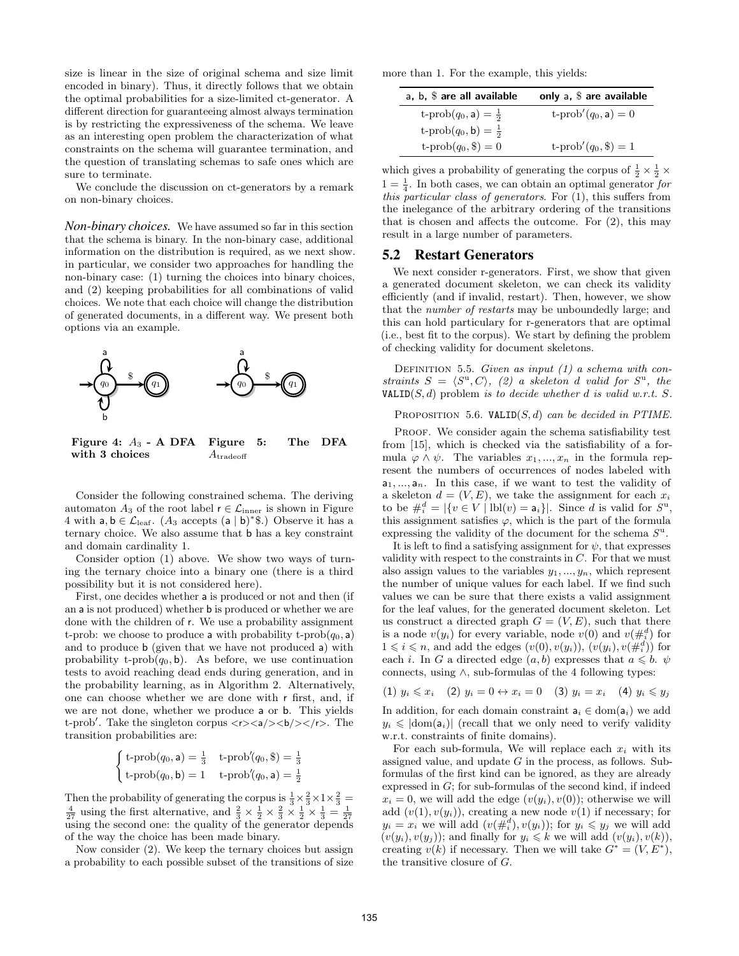size is linear in the size of original schema and size limit encoded in binary). Thus, it directly follows that we obtain the optimal probabilities for a size-limited ct-generator. A different direction for guaranteeing almost always termination is by restricting the expressiveness of the schema. We leave as an interesting open problem the characterization of what constraints on the schema will guarantee termination, and the question of translating schemas to safe ones which are sure to terminate.

We conclude the discussion on ct-generators by a remark on non-binary choices.

*Non-binary choices.* We have assumed so far in this section that the schema is binary. In the non-binary case, additional information on the distribution is required, as we next show. in particular, we consider two approaches for handling the non-binary case: (1) turning the choices into binary choices, and (2) keeping probabilities for all combinations of valid choices. We note that each choice will change the distribution of generated documents, in a different way. We present both options via an example.



Figure 4:  $A_3$  - A DFA with 3 choices Figure 5: The DFA  $A_{\rm tradeoff}$ 

Consider the following constrained schema. The deriving automaton  $A_3$  of the root label  $r \in \mathcal{L}_{inner}$  is shown in Figure 4 with  $a, b \in \mathcal{L}_{\text{leaf}}$ . (A<sub>3</sub> accepts (a | b)\*\$.) Observe it has a ternary choice. We also assume that b has a key constraint and domain cardinality 1.

Consider option (1) above. We show two ways of turning the ternary choice into a binary one (there is a third possibility but it is not considered here).

First, one decides whether a is produced or not and then (if an a is not produced) whether b is produced or whether we are done with the children of r. We use a probability assignment t-prob: we choose to produce a with probability t-prob $(q_0, a)$ and to produce b (given that we have not produced a) with probability t-prob( $q_0$ , b). As before, we use continuation tests to avoid reaching dead ends during generation, and in the probability learning, as in Algorithm 2. Alternatively, one can choose whether we are done with r first, and, if we are not done, whether we produce a or b. This yields t-prob'. Take the singleton corpus  $\langle r \rangle \langle a / \rangle \langle b / \rangle \langle r \rangle$ . The transition probabilities are:

$$
\begin{cases} \text{t-prob}(q_0, \mathsf{a}) = \frac{1}{3} & \text{t-prob}'(q_0, \$) = \frac{1}{3} \\ \text{t-prob}(q_0, \mathsf{b}) = 1 & \text{t-prob}'(q_0, \mathsf{a}) = \frac{1}{2} \end{cases}
$$

Then the probability of generating the corpus is  $\frac{1}{3} \times \frac{2}{3} \times 1 \times \frac{2}{3} =$  $\frac{4}{27}$  using the first alternative, and  $\frac{2}{3} \times \frac{1}{2} \times \frac{2}{3} \times \frac{1}{2} \times \frac{1}{3} = \frac{1}{27}$ <br>using the second one: the quality of the generator depends of the way the choice has been made binary.

Now consider (2). We keep the ternary choices but assign a probability to each possible subset of the transitions of size

more than 1. For the example, this yields:

| a, $b,$ $\frac{6}{3}$ are all available        | only $a, \, \hat{\mathbb{S}}$ are available |
|------------------------------------------------|---------------------------------------------|
| $\text{t-prob}(q_0, \mathsf{a}) = \frac{1}{2}$ | $t\text{-prob}'(q_0, \mathsf{a})=0$         |
| t-prob( $q_0, b$ ) = $\frac{1}{2}$             |                                             |
| $t\text{-prob}(q_0,\$)=0$                      | $t\text{-prob}'(q_0,\$)=1$                  |

which gives a probability of generating the corpus of  $\frac{1}{2} \times \frac{1}{2} \times$  $1 = \frac{1}{4}$ . In both cases, we can obtain an optimal generator for this particular class of generators. For (1), this suffers from the inelegance of the arbitrary ordering of the transitions that is chosen and affects the outcome. For (2), this may result in a large number of parameters.

#### 5.2 Restart Generators

We next consider r-generators. First, we show that given a generated document skeleton, we can check its validity efficiently (and if invalid, restart). Then, however, we show that the number of restarts may be unboundedly large; and this can hold particulary for r-generators that are optimal (i.e., best fit to the corpus). We start by defining the problem of checking validity for document skeletons.

DEFINITION 5.5. Given as input  $(1)$  a schema with constraints  $S = \langle S^u, C \rangle$ , (2) a skeleton d valid for  $S^u$ , the VALID $(S, d)$  problem is to decide whether d is valid w.r.t. S.

#### PROPOSITION 5.6. VALID $(S, d)$  can be decided in PTIME.

PROOF. We consider again the schema satisfiability test from [15], which is checked via the satisfiability of a formula  $\varphi \wedge \psi$ . The variables  $x_1, ..., x_n$  in the formula represent the numbers of occurrences of nodes labeled with  $a_1, \ldots, a_n$ . In this case, if we want to test the validity of a skeleton  $d = (V, E)$ , we take the assignment for each  $x_i$ to be  $\#_i^d = |\{v \in V \mid \text{lb}(v) = \mathsf{a}_i\}|$ . Since d is valid for  $S^u$ , this assignment satisfies  $\varphi$ , which is the part of the formula expressing the validity of the document for the schema  $S^u$ .

It is left to find a satisfying assignment for  $\psi$ , that expresses validity with respect to the constraints in  $C$ . For that we must also assign values to the variables  $y_1, ..., y_n$ , which represent the number of unique values for each label. If we find such values we can be sure that there exists a valid assignment for the leaf values, for the generated document skeleton. Let us construct a directed graph  $G = (V, E)$ , such that there is a node  $v(y_i)$  for every variable, node  $v(0)$  and  $v(\#_i^d)$  for  $1 \leqslant i \leqslant n$ , and add the edges  $(v(0), v(y_i)), (v(y_i), v(\#_i^d))$  for each *i*. In G a directed edge  $(a, b)$  expresses that  $a \leq b$ .  $\psi$ connects, using ∧, sub-formulas of the 4 following types:

(1) 
$$
y_i \le x_i
$$
 (2)  $y_i = 0 \leftrightarrow x_i = 0$  (3)  $y_i = x_i$  (4)  $y_i \le y_j$ 

In addition, for each domain constraint  $a_i \in \text{dom}(a_i)$  we add  $y_i \leq \text{dom}(\mathsf{a}_i)$  (recall that we only need to verify validity w.r.t. constraints of finite domains).

For each sub-formula, We will replace each  $x_i$  with its assigned value, and update  $G$  in the process, as follows. Subformulas of the first kind can be ignored, as they are already expressed in G; for sub-formulas of the second kind, if indeed  $x_i = 0$ , we will add the edge  $(v(y_i), v(0))$ ; otherwise we will add  $(v(1), v(y_i))$ , creating a new node  $v(1)$  if necessary; for  $y_i = x_i$  we will add  $(v(\neq_i^d), v(y_i));$  for  $y_i \leq y_j$  we will add  $(v(y_i), v(y_j))$ ; and finally for  $y_i \leq k$  we will add  $(v(y_i), v(k))$ , creating  $v(k)$  if necessary. Then we will take  $G^* = (V, E^*),$ the transitive closure of G.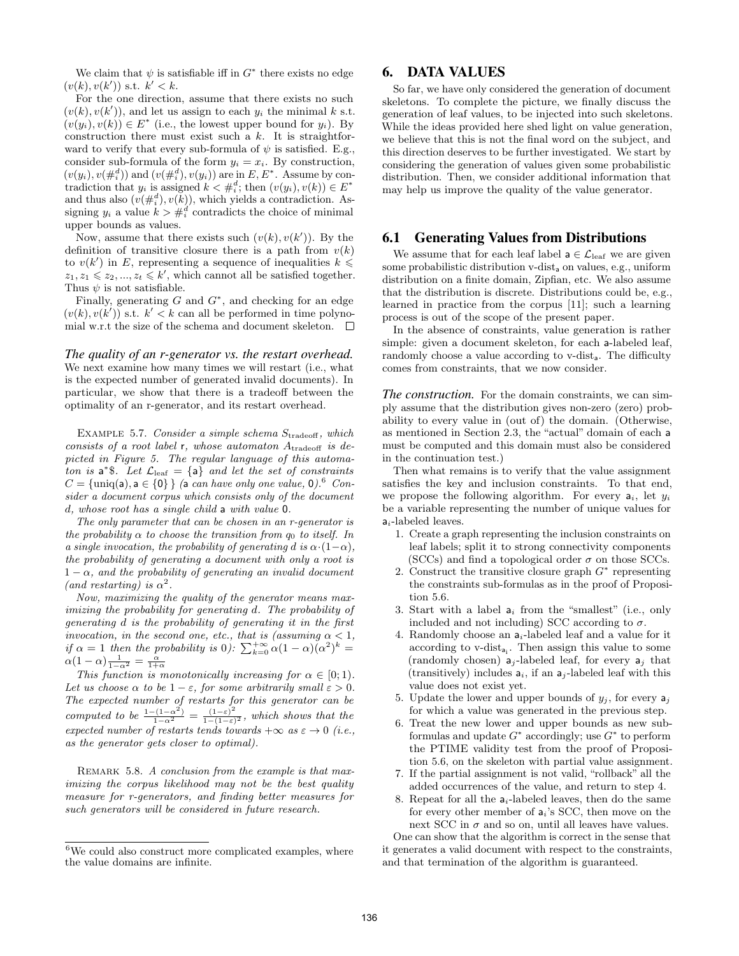We claim that  $\psi$  is satisfiable iff in  $G^*$  there exists no edge  $(v(k), v(k'))$  s.t.  $k' < k$ .

For the one direction, assume that there exists no such  $(v(k), v(k'))$ , and let us assign to each  $y_i$  the minimal k s.t.  $(v(y_i), v(k)) \in E^*$  (i.e., the lowest upper bound for  $y_i$ ). By construction there must exist such a  $k$ . It is straightforward to verify that every sub-formula of  $\psi$  is satisfied. E.g., consider sub-formula of the form  $y_i = x_i$ . By construction,  $(v(y_i), v(\#_i^d))$  and  $(v(\#_i^d), v(y_i))$  are in  $E, E^*$ . Assume by contradiction that  $y_i$  is assigned  $k < \#_i^d$ ; then  $(v(y_i), v(k)) \in E^*$ and thus also  $(v(\#_i^d), v(k))$ , which yields a contradiction. Assigning  $y_i$  a value  $k > \frac{d}{dt}$  contradicts the choice of minimal upper bounds as values.

Now, assume that there exists such  $(v(k), v(k'))$ . By the definition of transitive closure there is a path from  $v(k)$ to  $v(k')$  in E, representing a sequence of inequalities  $k \leq$  $z_1, z_1 \leqslant z_2, ..., z_t \leqslant k'$ , which cannot all be satisfied together. Thus  $\psi$  is not satisfiable.

Finally, generating  $G$  and  $G^*$ , and checking for an edge  $(v(k), v(k'))$  s.t.  $k' < k$  can all be performed in time polynomial w.r.t the size of the schema and document skeleton.  $\Box$ 

*The quality of an r-generator vs. the restart overhead.* We next examine how many times we will restart (i.e., what is the expected number of generated invalid documents). In particular, we show that there is a tradeoff between the optimality of an r-generator, and its restart overhead.

EXAMPLE 5.7. Consider a simple schema  $S_{\text{tradeoff}}$ , which consists of a root label r, whose automaton  $A_{\text{tradeoff}}$  is depicted in Figure 5. The regular language of this automaton is a<sup>\*</sup>\$. Let  $\mathcal{L}_{\text{leaf}} = \{a\}$  and let the set of constraints  $C = \{ \text{uniq}(a), a \in \{0\} \}$  (a can have only one value, 0).<sup>6</sup> Consider a document corpus which consists only of the document d, whose root has a single child a with value 0.

The only parameter that can be chosen in an r-generator is the probability  $\alpha$  to choose the transition from  $q_0$  to itself. In a single invocation, the probability of generating d is  $\alpha \cdot (1-\alpha)$ , the probability of generating a document with only a root is  $1 - \alpha$ , and the probability of generating an invalid document (and restarting) is  $\alpha^2$ .

Now, maximizing the quality of the generator means maximizing the probability for generating d. The probability of generating d is the probability of generating it in the first invocation, in the second one, etc., that is (assuming  $\alpha < 1$ , if  $\alpha = 1$  then the probability is 0):  $\sum_{k=0}^{+\infty} \alpha(1-\alpha)(\alpha^2)^k =$  $\alpha(1-\alpha)\frac{1}{1-\alpha^2}=\frac{\alpha}{1+\alpha}$ 

This function is monotonically increasing for  $\alpha \in [0,1)$ . Let us choose  $\alpha$  to be  $1 - \varepsilon$ , for some arbitrarily small  $\varepsilon > 0$ . The expected number of restarts for this generator can be computed to be  $\frac{1-(1-\alpha^2)}{1-\alpha^2} = \frac{(1-\varepsilon)^2}{1-(1-\varepsilon)}$  $\frac{(1-\varepsilon)^2}{1-(1-\varepsilon)^2}$ , which shows that the expected number of restarts tends towards  $+\infty$  as  $\varepsilon \to 0$  (i.e., as the generator gets closer to optimal).

REMARK 5.8. A conclusion from the example is that maximizing the corpus likelihood may not be the best quality measure for r-generators, and finding better measures for such generators will be considered in future research.

## 6. DATA VALUES

So far, we have only considered the generation of document skeletons. To complete the picture, we finally discuss the generation of leaf values, to be injected into such skeletons. While the ideas provided here shed light on value generation, we believe that this is not the final word on the subject, and this direction deserves to be further investigated. We start by considering the generation of values given some probabilistic distribution. Then, we consider additional information that may help us improve the quality of the value generator.

#### 6.1 Generating Values from Distributions

We assume that for each leaf label  $a \in \mathcal{L}_{\text{leaf}}$  we are given some probabilistic distribution v-dist<sup>a</sup> on values, e.g., uniform distribution on a finite domain, Zipfian, etc. We also assume that the distribution is discrete. Distributions could be, e.g., learned in practice from the corpus [11]; such a learning process is out of the scope of the present paper.

In the absence of constraints, value generation is rather simple: given a document skeleton, for each a-labeled leaf, randomly choose a value according to  $v$ -dist<sub>a</sub>. The difficulty comes from constraints, that we now consider.

*The construction.* For the domain constraints, we can simply assume that the distribution gives non-zero (zero) probability to every value in (out of) the domain. (Otherwise, as mentioned in Section 2.3, the "actual" domain of each a must be computed and this domain must also be considered in the continuation test.)

Then what remains is to verify that the value assignment satisfies the key and inclusion constraints. To that end, we propose the following algorithm. For every  $a_i$ , let  $y_i$ be a variable representing the number of unique values for  $a_i$ -labeled leaves.

- 1. Create a graph representing the inclusion constraints on leaf labels; split it to strong connectivity components (SCCs) and find a topological order  $\sigma$  on those SCCs.
- 2. Construct the transitive closure graph  $G^*$  representing the constraints sub-formulas as in the proof of Proposition 5.6.
- 3. Start with a label  $a_i$  from the "smallest" (i.e., only included and not including) SCC according to  $\sigma$ .
- 4. Randomly choose an  $a_i$ -labeled leaf and a value for it according to  $v$ -dist<sub>a<sub>i</sub></sub>. Then assign this value to some (randomly chosen)  $a_j$ -labeled leaf, for every  $a_j$  that (transitively) includes  $a_i$ , if an  $a_j$ -labeled leaf with this value does not exist yet.
- 5. Update the lower and upper bounds of  $y_i$ , for every  $a_i$ for which a value was generated in the previous step.
- 6. Treat the new lower and upper bounds as new subformulas and update  $G^*$  accordingly; use  $G^*$  to perform the PTIME validity test from the proof of Proposition 5.6, on the skeleton with partial value assignment.
- 7. If the partial assignment is not valid, "rollback" all the added occurrences of the value, and return to step 4.
- 8. Repeat for all the  $a_i$ -labeled leaves, then do the same for every other member of  $a_i$ 's SCC, then move on the next SCC in  $\sigma$  and so on, until all leaves have values.

One can show that the algorithm is correct in the sense that it generates a valid document with respect to the constraints, and that termination of the algorithm is guaranteed.

 $6$ We could also construct more complicated examples, where the value domains are infinite.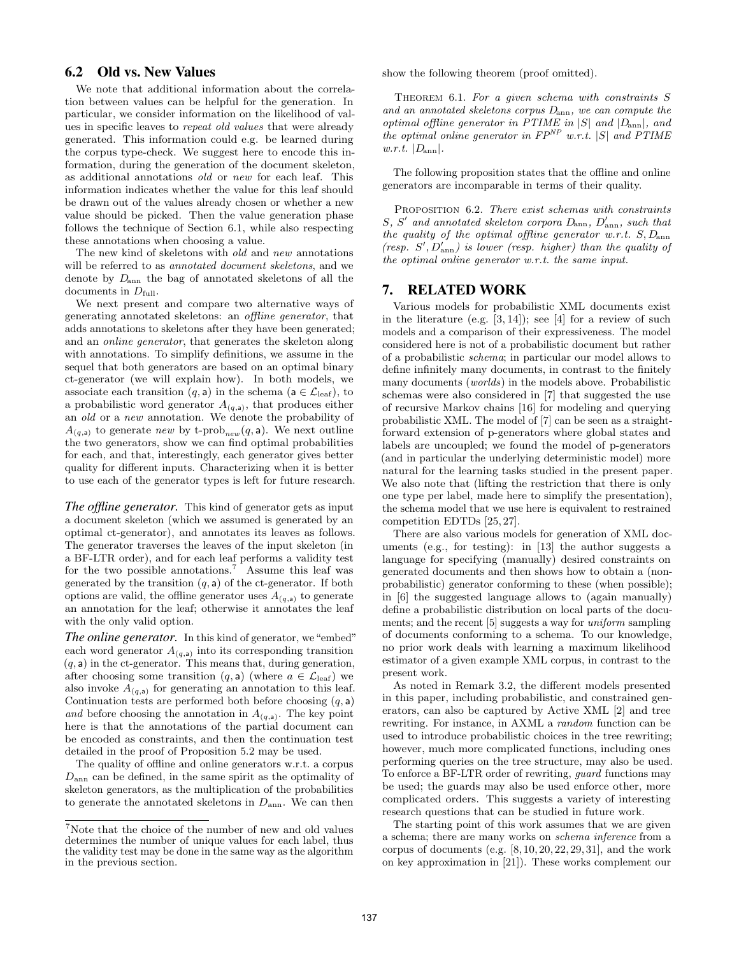# 6.2 Old vs. New Values

We note that additional information about the correlation between values can be helpful for the generation. In particular, we consider information on the likelihood of values in specific leaves to repeat old values that were already generated. This information could e.g. be learned during the corpus type-check. We suggest here to encode this information, during the generation of the document skeleton, as additional annotations old or new for each leaf. This information indicates whether the value for this leaf should be drawn out of the values already chosen or whether a new value should be picked. Then the value generation phase follows the technique of Section 6.1, while also respecting these annotations when choosing a value.

The new kind of skeletons with old and new annotations will be referred to as annotated document skeletons, and we denote by Dann the bag of annotated skeletons of all the documents in  $D_{\text{full}}$ .

We next present and compare two alternative ways of generating annotated skeletons: an offline generator, that adds annotations to skeletons after they have been generated; and an online generator, that generates the skeleton along with annotations. To simplify definitions, we assume in the sequel that both generators are based on an optimal binary ct-generator (we will explain how). In both models, we associate each transition  $(q, a)$  in the schema ( $a \in \mathcal{L}_{\text{leaf}}$ ), to a probabilistic word generator  $A_{(q,a)}$ , that produces either an old or a new annotation. We denote the probability of  $A_{(q,a)}$  to generate new by t-prob<sub>new</sub>  $(q, a)$ . We next outline the two generators, show we can find optimal probabilities for each, and that, interestingly, each generator gives better quality for different inputs. Characterizing when it is better to use each of the generator types is left for future research.

*The offline generator.* This kind of generator gets as input a document skeleton (which we assumed is generated by an optimal ct-generator), and annotates its leaves as follows. The generator traverses the leaves of the input skeleton (in a BF-LTR order), and for each leaf performs a validity test for the two possible annotations.<sup>7</sup> Assume this leaf was generated by the transition  $(q, a)$  of the ct-generator. If both options are valid, the offline generator uses  $A_{(q,a)}$  to generate an annotation for the leaf; otherwise it annotates the leaf with the only valid option.

*The online generator.* In this kind of generator, we "embed" each word generator  $A_{(q,a)}$  into its corresponding transition  $(q, a)$  in the ct-generator. This means that, during generation, after choosing some transition  $(q, a)$  (where  $a \in \mathcal{L}_{\text{leaf}}$ ) we also invoke  $A_{(q,a)}$  for generating an annotation to this leaf. Continuation tests are performed both before choosing  $(q, a)$ and before choosing the annotation in  $A_{(q,a)}$ . The key point here is that the annotations of the partial document can be encoded as constraints, and then the continuation test detailed in the proof of Proposition 5.2 may be used.

The quality of offline and online generators w.r.t. a corpus  $D_{\text{ann}}$  can be defined, in the same spirit as the optimality of skeleton generators, as the multiplication of the probabilities to generate the annotated skeletons in  $D_{\text{ann}}$ . We can then show the following theorem (proof omitted).

THEOREM 6.1. For a given schema with constraints S and an annotated skeletons corpus Dann, we can compute the optimal offline generator in PTIME in  $|S|$  and  $|D_{\text{ann}}|$ , and the optimal online generator in  $FP^{NP}$  w.r.t.  $|S|$  and  $PTIME$  $w.r.t.$   $|D_{\text{ann}}|$ .

The following proposition states that the offline and online generators are incomparable in terms of their quality.

PROPOSITION 6.2. There exist schemas with constraints  $S, S'$  and annotated skeleton corpora  $D_{ann}$ ,  $D'_{ann}$ , such that the quality of the optimal offline generator w.r.t.  $S, D_{\text{ann}}$ (resp.  $S', D'_{ann}$ ) is lower (resp. higher) than the quality of the optimal online generator w.r.t. the same input.

## 7. RELATED WORK

Various models for probabilistic XML documents exist in the literature (e.g.  $[3, 14]$ ); see  $[4]$  for a review of such models and a comparison of their expressiveness. The model considered here is not of a probabilistic document but rather of a probabilistic schema; in particular our model allows to define infinitely many documents, in contrast to the finitely many documents (*worlds*) in the models above. Probabilistic schemas were also considered in [7] that suggested the use of recursive Markov chains [16] for modeling and querying probabilistic XML. The model of [7] can be seen as a straightforward extension of p-generators where global states and labels are uncoupled; we found the model of p-generators (and in particular the underlying deterministic model) more natural for the learning tasks studied in the present paper. We also note that (lifting the restriction that there is only one type per label, made here to simplify the presentation), the schema model that we use here is equivalent to restrained competition EDTDs [25, 27].

There are also various models for generation of XML documents (e.g., for testing): in [13] the author suggests a language for specifying (manually) desired constraints on generated documents and then shows how to obtain a (nonprobabilistic) generator conforming to these (when possible); in [6] the suggested language allows to (again manually) define a probabilistic distribution on local parts of the documents; and the recent [5] suggests a way for uniform sampling of documents conforming to a schema. To our knowledge, no prior work deals with learning a maximum likelihood estimator of a given example XML corpus, in contrast to the present work.

As noted in Remark 3.2, the different models presented in this paper, including probabilistic, and constrained generators, can also be captured by Active XML [2] and tree rewriting. For instance, in AXML a random function can be used to introduce probabilistic choices in the tree rewriting; however, much more complicated functions, including ones performing queries on the tree structure, may also be used. To enforce a BF-LTR order of rewriting, guard functions may be used; the guards may also be used enforce other, more complicated orders. This suggests a variety of interesting research questions that can be studied in future work.

The starting point of this work assumes that we are given a schema; there are many works on schema inference from a corpus of documents (e.g. [8, 10, 20, 22, 29, 31], and the work on key approximation in [21]). These works complement our

 $7\rm{Note}$  that the choice of the number of new and old values determines the number of unique values for each label, thus the validity test may be done in the same way as the algorithm in the previous section.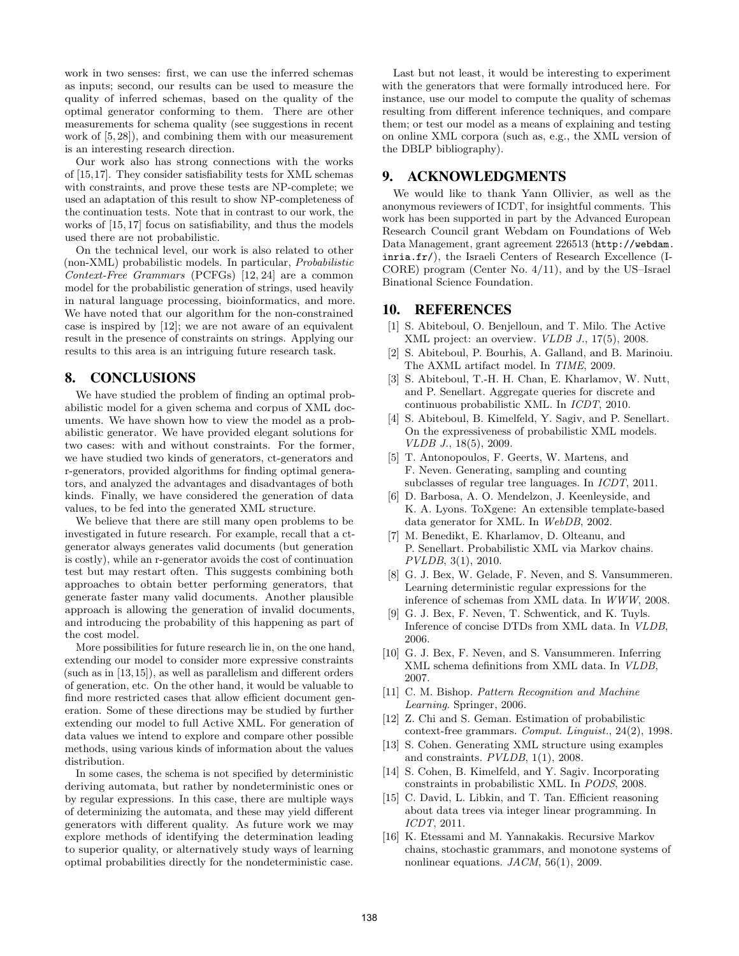work in two senses: first, we can use the inferred schemas as inputs; second, our results can be used to measure the quality of inferred schemas, based on the quality of the optimal generator conforming to them. There are other measurements for schema quality (see suggestions in recent work of [5, 28]), and combining them with our measurement is an interesting research direction.

Our work also has strong connections with the works of [15,17]. They consider satisfiability tests for XML schemas with constraints, and prove these tests are NP-complete; we used an adaptation of this result to show NP-completeness of the continuation tests. Note that in contrast to our work, the works of [15, 17] focus on satisfiability, and thus the models used there are not probabilistic.

On the technical level, our work is also related to other (non-XML) probabilistic models. In particular, Probabilistic Context-Free Grammars (PCFGs) [12, 24] are a common model for the probabilistic generation of strings, used heavily in natural language processing, bioinformatics, and more. We have noted that our algorithm for the non-constrained case is inspired by [12]; we are not aware of an equivalent result in the presence of constraints on strings. Applying our results to this area is an intriguing future research task.

# 8. CONCLUSIONS

We have studied the problem of finding an optimal probabilistic model for a given schema and corpus of XML documents. We have shown how to view the model as a probabilistic generator. We have provided elegant solutions for two cases: with and without constraints. For the former, we have studied two kinds of generators, ct-generators and r-generators, provided algorithms for finding optimal generators, and analyzed the advantages and disadvantages of both kinds. Finally, we have considered the generation of data values, to be fed into the generated XML structure.

We believe that there are still many open problems to be investigated in future research. For example, recall that a ctgenerator always generates valid documents (but generation is costly), while an r-generator avoids the cost of continuation test but may restart often. This suggests combining both approaches to obtain better performing generators, that generate faster many valid documents. Another plausible approach is allowing the generation of invalid documents, and introducing the probability of this happening as part of the cost model.

More possibilities for future research lie in, on the one hand, extending our model to consider more expressive constraints (such as in [13,15]), as well as parallelism and different orders of generation, etc. On the other hand, it would be valuable to find more restricted cases that allow efficient document generation. Some of these directions may be studied by further extending our model to full Active XML. For generation of data values we intend to explore and compare other possible methods, using various kinds of information about the values distribution.

In some cases, the schema is not specified by deterministic deriving automata, but rather by nondeterministic ones or by regular expressions. In this case, there are multiple ways of determinizing the automata, and these may yield different generators with different quality. As future work we may explore methods of identifying the determination leading to superior quality, or alternatively study ways of learning optimal probabilities directly for the nondeterministic case.

Last but not least, it would be interesting to experiment with the generators that were formally introduced here. For instance, use our model to compute the quality of schemas resulting from different inference techniques, and compare them; or test our model as a means of explaining and testing on online XML corpora (such as, e.g., the XML version of the DBLP bibliography).

# 9. ACKNOWLEDGMENTS

We would like to thank Yann Ollivier, as well as the anonymous reviewers of ICDT, for insightful comments. This work has been supported in part by the Advanced European Research Council grant Webdam on Foundations of Web Data Management, grant agreement 226513 ([http://webdam.](http://webdam.inria.fr/) [inria.fr/](http://webdam.inria.fr/)), the Israeli Centers of Research Excellence (I-CORE) program (Center No. 4/11), and by the US–Israel Binational Science Foundation.

# 10. REFERENCES

- [1] S. Abiteboul, O. Benjelloun, and T. Milo. The Active XML project: an overview. VLDB J., 17(5), 2008.
- [2] S. Abiteboul, P. Bourhis, A. Galland, and B. Marinoiu. The AXML artifact model. In TIME, 2009.
- [3] S. Abiteboul, T.-H. H. Chan, E. Kharlamov, W. Nutt, and P. Senellart. Aggregate queries for discrete and continuous probabilistic XML. In ICDT, 2010.
- [4] S. Abiteboul, B. Kimelfeld, Y. Sagiv, and P. Senellart. On the expressiveness of probabilistic XML models. VLDB J., 18(5), 2009.
- [5] T. Antonopoulos, F. Geerts, W. Martens, and F. Neven. Generating, sampling and counting subclasses of regular tree languages. In ICDT, 2011.
- [6] D. Barbosa, A. O. Mendelzon, J. Keenleyside, and K. A. Lyons. ToXgene: An extensible template-based data generator for XML. In WebDB, 2002.
- [7] M. Benedikt, E. Kharlamov, D. Olteanu, and P. Senellart. Probabilistic XML via Markov chains. PVLDB, 3(1), 2010.
- [8] G. J. Bex, W. Gelade, F. Neven, and S. Vansummeren. Learning deterministic regular expressions for the inference of schemas from XML data. In WWW, 2008.
- [9] G. J. Bex, F. Neven, T. Schwentick, and K. Tuyls. Inference of concise DTDs from XML data. In VLDB, 2006.
- [10] G. J. Bex, F. Neven, and S. Vansummeren. Inferring XML schema definitions from XML data. In VLDB, 2007.
- [11] C. M. Bishop. Pattern Recognition and Machine Learning. Springer, 2006.
- [12] Z. Chi and S. Geman. Estimation of probabilistic context-free grammars. Comput. Linguist., 24(2), 1998.
- [13] S. Cohen. Generating XML structure using examples and constraints. PVLDB, 1(1), 2008.
- [14] S. Cohen, B. Kimelfeld, and Y. Sagiv. Incorporating constraints in probabilistic XML. In PODS, 2008.
- [15] C. David, L. Libkin, and T. Tan. Efficient reasoning about data trees via integer linear programming. In ICDT, 2011.
- [16] K. Etessami and M. Yannakakis. Recursive Markov chains, stochastic grammars, and monotone systems of nonlinear equations.  $JACM$ , 56(1), 2009.